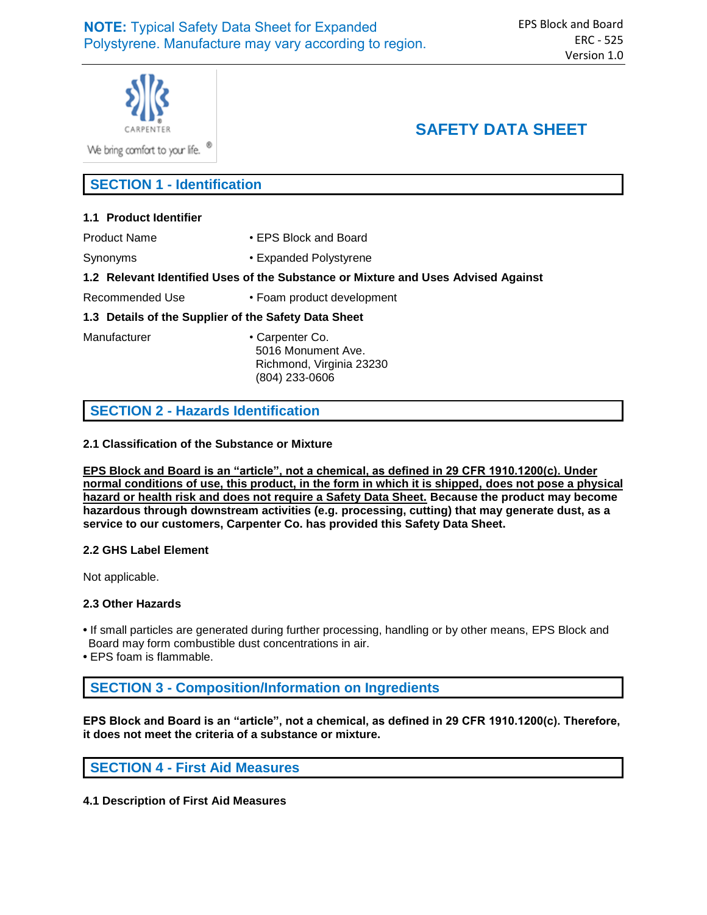

We bring comfort to your life. <sup>®</sup>

# **SAFETY DATA SHEET**

**SECTION 1 - Identification**

## **1.1 Product Identifier**

Product Name • FPS Block and Board

Synonyms • Expanded Polystyrene

## **1.2 Relevant Identified Uses of the Substance or Mixture and Uses Advised Against**

Recommended Use • Foam product development

## **1.3 Details of the Supplier of the Safety Data Sheet**

Manufacturer • Carpenter Co. 5016 Monument Ave. Richmond, Virginia 23230 (804) 233-0606

## **SECTION 2 - Hazards Identification**

## **2.1 Classification of the Substance or Mixture**

**EPS Block and Board is an "article", not a chemical, as defined in 29 CFR 1910.1200(c). Under normal conditions of use, this product, in the form in which it is shipped, does not pose a physical hazard or health risk and does not require a Safety Data Sheet. Because the product may become hazardous through downstream activities (e.g. processing, cutting) that may generate dust, as a service to our customers, Carpenter Co. has provided this Safety Data Sheet.** 

### **2.2 GHS Label Element**

Not applicable.

### **2.3 Other Hazards**

**•** If small particles are generated during further processing, handling or by other means, EPS Block and Board may form combustible dust concentrations in air.

**•** EPS foam is flammable.

**SECTION 3 - Composition/Information on Ingredients**

**EPS Block and Board is an "article", not a chemical, as defined in 29 CFR 1910.1200(c). Therefore, it does not meet the criteria of a substance or mixture.**

## **SECTION 4 - First Aid Measures**

**4.1 Description of First Aid Measures**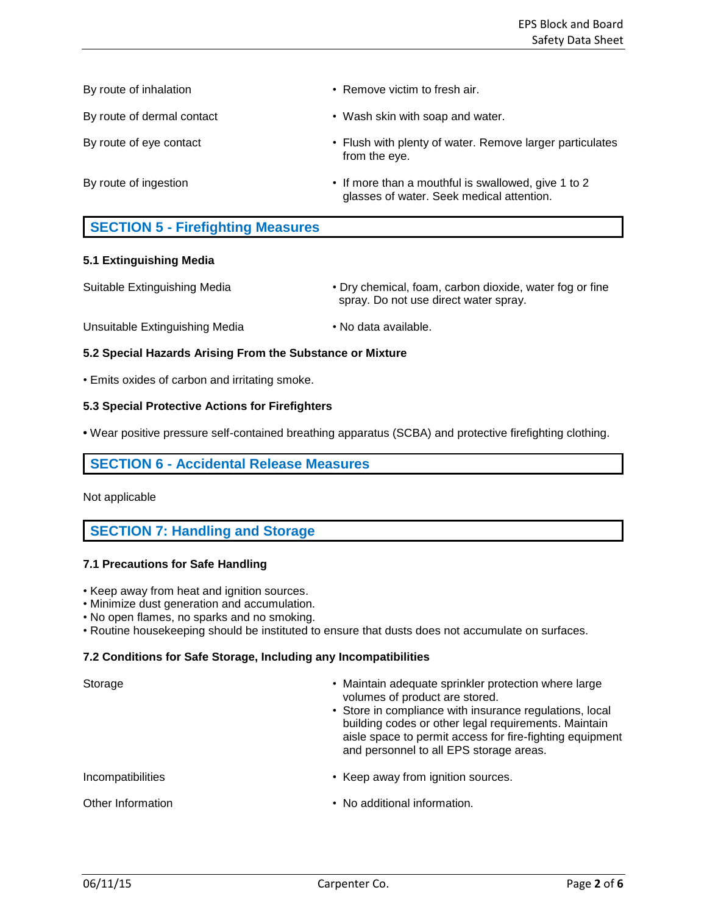By route of inhalation **•** Remove victim to fresh air. By route of dermal contact • Wash skin with soap and water. By route of eye contact **• Flush with plenty of water. Remove larger particulates** from the eye. By route of ingestion **• If more than a mouthful is swallowed, give 1 to 2** glasses of water. Seek medical attention.

# **SECTION 5 - Firefighting Measures**

## **5.1 Extinguishing Media**

- Suitable Extinguishing Media **Dry chemical, foam, carbon dioxide, water fog or fine** spray. Do not use direct water spray.
- Unsuitable Extinguishing Media No data available.

## **5.2 Special Hazards Arising From the Substance or Mixture**

• Emits oxides of carbon and irritating smoke.

## **5.3 Special Protective Actions for Firefighters**

**•** Wear positive pressure self-contained breathing apparatus (SCBA) and protective firefighting clothing.

## **SECTION 6 - Accidental Release Measures**

Not applicable

# **SECTION 7: Handling and Storage**

## **7.1 Precautions for Safe Handling**

- Keep away from heat and ignition sources.
- Minimize dust generation and accumulation.
- No open flames, no sparks and no smoking.
- Routine housekeeping should be instituted to ensure that dusts does not accumulate on surfaces.

## **7.2 Conditions for Safe Storage, Including any Incompatibilities**

| Storage           | • Maintain adequate sprinkler protection where large<br>volumes of product are stored.<br>• Store in compliance with insurance regulations, local<br>building codes or other legal requirements. Maintain<br>aisle space to permit access for fire-fighting equipment<br>and personnel to all EPS storage areas. |  |
|-------------------|------------------------------------------------------------------------------------------------------------------------------------------------------------------------------------------------------------------------------------------------------------------------------------------------------------------|--|
| Incompatibilities | • Keep away from ignition sources.                                                                                                                                                                                                                                                                               |  |
| Other Information | • No additional information.                                                                                                                                                                                                                                                                                     |  |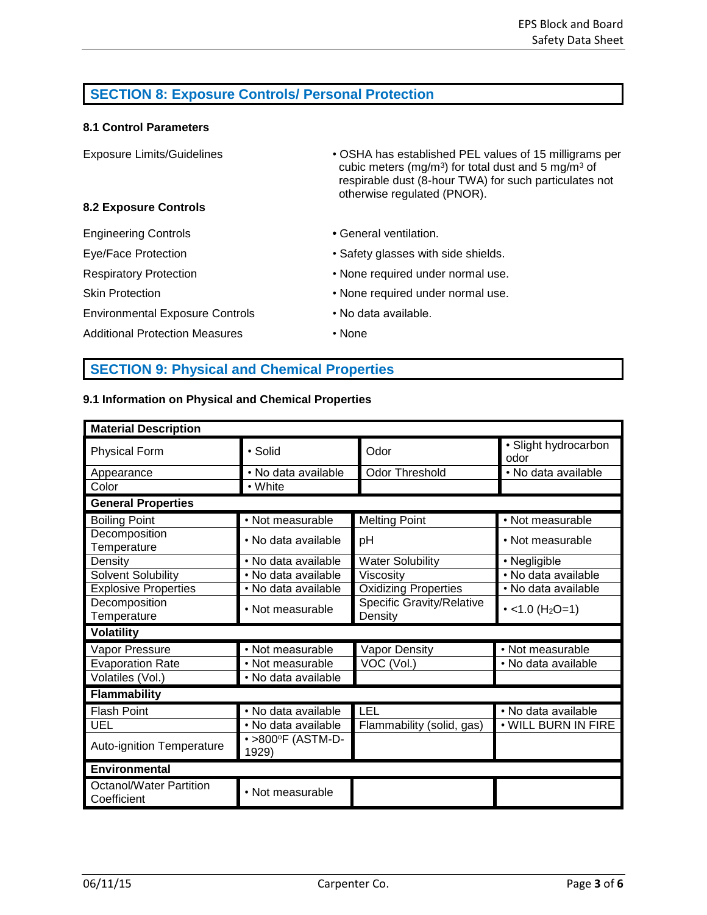# **SECTION 8: Exposure Controls/ Personal Protection**

## **8.1 Control Parameters**

| <b>Exposure Limits/Guidelines</b>      | • OSHA has established PEL values of 15 milligrams per<br>cubic meters (mg/m <sup>3</sup> ) for total dust and 5 mg/m <sup>3</sup> of<br>respirable dust (8-hour TWA) for such particulates not<br>otherwise regulated (PNOR). |  |
|----------------------------------------|--------------------------------------------------------------------------------------------------------------------------------------------------------------------------------------------------------------------------------|--|
| <b>8.2 Exposure Controls</b>           |                                                                                                                                                                                                                                |  |
| <b>Engineering Controls</b>            | • General ventilation.                                                                                                                                                                                                         |  |
| Eye/Face Protection                    | • Safety glasses with side shields.                                                                                                                                                                                            |  |
| <b>Respiratory Protection</b>          | • None required under normal use.                                                                                                                                                                                              |  |
| <b>Skin Protection</b>                 | • None required under normal use.                                                                                                                                                                                              |  |
| <b>Environmental Exposure Controls</b> | • No data available.                                                                                                                                                                                                           |  |
| <b>Additional Protection Measures</b>  | • None                                                                                                                                                                                                                         |  |

# **SECTION 9: Physical and Chemical Properties**

## **9.1 Information on Physical and Chemical Properties**

| <b>Material Description</b>                   |                            |                                             |                              |  |  |
|-----------------------------------------------|----------------------------|---------------------------------------------|------------------------------|--|--|
| <b>Physical Form</b>                          | • Solid                    | Odor                                        | • Slight hydrocarbon<br>odor |  |  |
| Appearance                                    | · No data available        | <b>Odor Threshold</b>                       | • No data available          |  |  |
| Color                                         | • White                    |                                             |                              |  |  |
| <b>General Properties</b>                     |                            |                                             |                              |  |  |
| <b>Boiling Point</b>                          | • Not measurable           | <b>Melting Point</b>                        | • Not measurable             |  |  |
| Decomposition<br>Temperature                  | • No data available        | рH                                          | • Not measurable             |  |  |
| Density                                       | • No data available        | <b>Water Solubility</b>                     | • Negligible                 |  |  |
| <b>Solvent Solubility</b>                     | • No data available        | Viscosity                                   | • No data available          |  |  |
| <b>Explosive Properties</b>                   | • No data available        | <b>Oxidizing Properties</b>                 | · No data available          |  |  |
| Decomposition<br>Temperature                  | • Not measurable           | <b>Specific Gravity/Relative</b><br>Density | • <1.0 (H <sub>2</sub> O=1)  |  |  |
| <b>Volatility</b>                             |                            |                                             |                              |  |  |
| Vapor Pressure                                | • Not measurable           | <b>Vapor Density</b>                        | • Not measurable             |  |  |
| <b>Evaporation Rate</b>                       | • Not measurable           | VOC (Vol.)                                  | · No data available          |  |  |
| Volatiles (Vol.)                              | • No data available        |                                             |                              |  |  |
| <b>Flammability</b>                           |                            |                                             |                              |  |  |
| <b>Flash Point</b>                            | · No data available        | LEL                                         | • No data available          |  |  |
| UEL                                           | • No data available        | Flammability (solid, gas)                   | . WILL BURN IN FIRE          |  |  |
| Auto-ignition Temperature                     | • >800°F (ASTM-D-<br>1929) |                                             |                              |  |  |
| Environmental                                 |                            |                                             |                              |  |  |
| <b>Octanol/Water Partition</b><br>Coefficient | • Not measurable           |                                             |                              |  |  |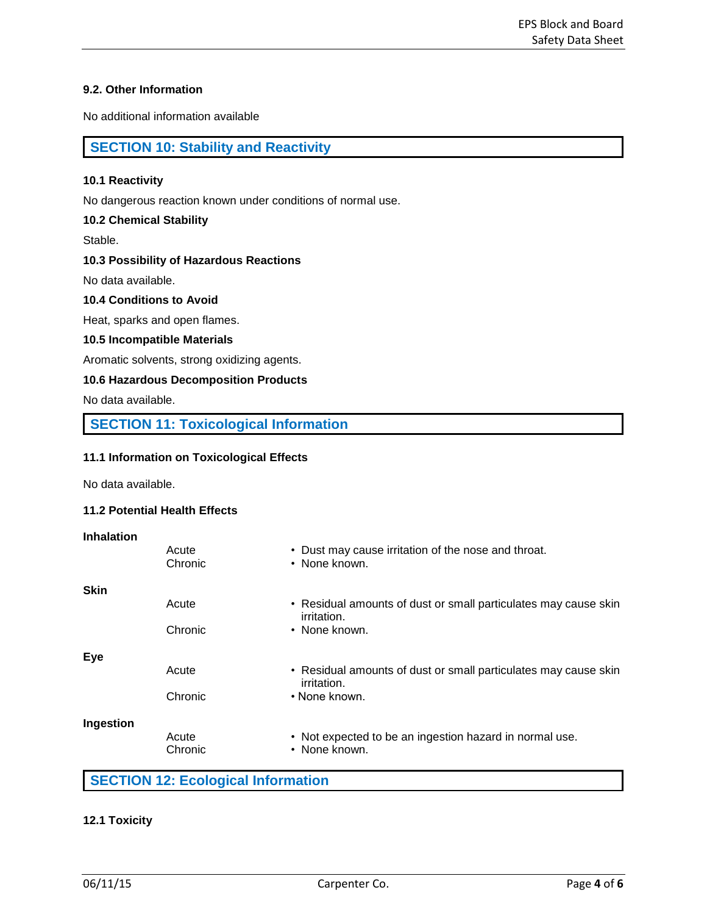## **9.2. Other Information**

No additional information available

# **SECTION 10: Stability and Reactivity**

### **10.1 Reactivity**

No dangerous reaction known under conditions of normal use.

### **10.2 Chemical Stability**

Stable.

## **10.3 Possibility of Hazardous Reactions**

No data available.

## **10.4 Conditions to Avoid**

Heat, sparks and open flames.

### **10.5 Incompatible Materials**

Aromatic solvents, strong oxidizing agents.

### **10.6 Hazardous Decomposition Products**

No data available.

# **SECTION 11: Toxicological Information**

## **11.1 Information on Toxicological Effects**

No data available.

### **11.2 Potential Health Effects**

| <b>Inhalation</b> |                  |                                                                                |
|-------------------|------------------|--------------------------------------------------------------------------------|
|                   | Acute<br>Chronic | • Dust may cause irritation of the nose and throat.<br>• None known.           |
| <b>Skin</b>       |                  |                                                                                |
|                   | Acute            | • Residual amounts of dust or small particulates may cause skin<br>irritation. |
|                   | Chronic          | • None known.                                                                  |
| <b>Eye</b>        |                  |                                                                                |
|                   | Acute            | • Residual amounts of dust or small particulates may cause skin<br>irritation. |
|                   | Chronic          | • None known.                                                                  |
| Ingestion         |                  |                                                                                |
|                   | Acute<br>Chronic | • Not expected to be an ingestion hazard in normal use.<br>• None known.       |

# **SECTION 12: Ecological Information**

## **12.1 Toxicity**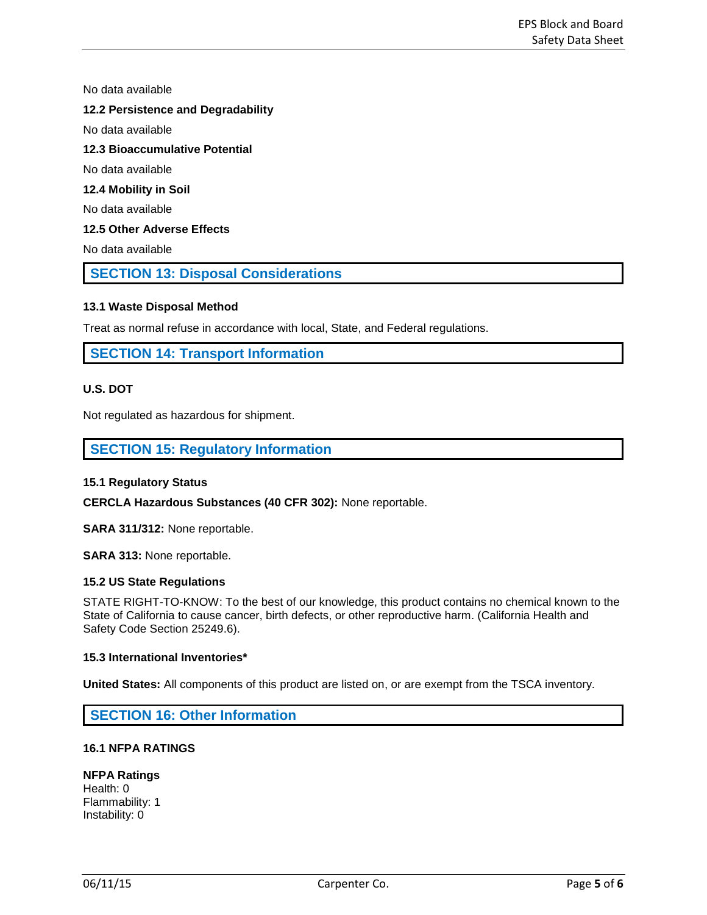No data available

## **12.2 Persistence and Degradability**

No data available

## **12.3 Bioaccumulative Potential**

No data available

## **12.4 Mobility in Soil**

No data available

## **12.5 Other Adverse Effects**

No data available

## **SECTION 13: Disposal Considerations**

## **13.1 Waste Disposal Method**

Treat as normal refuse in accordance with local, State, and Federal regulations.

## **SECTION 14: Transport Information**

## **U.S. DOT**

Not regulated as hazardous for shipment.

## **SECTION 15: Regulatory Information**

### **15.1 Regulatory Status**

**CERCLA Hazardous Substances (40 CFR 302):** None reportable.

**SARA 311/312:** None reportable.

**SARA 313:** None reportable.

### **15.2 US State Regulations**

STATE RIGHT-TO-KNOW: To the best of our knowledge, this product contains no chemical known to the State of California to cause cancer, birth defects, or other reproductive harm. (California Health and Safety Code Section 25249.6).

### **15.3 International Inventories\***

**United States:** All components of this product are listed on, or are exempt from the TSCA inventory.

## **SECTION 16: Other Information**

## **16.1 NFPA RATINGS**

## **NFPA Ratings**

Health: 0 Flammability: 1 Instability: 0